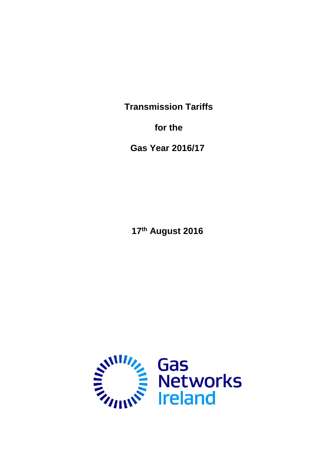**Transmission Tariffs**

**for the**

**Gas Year 2016/17**

**17th August 2016**

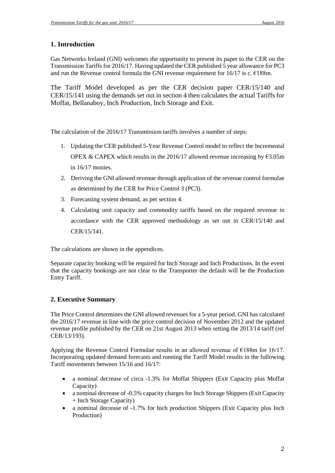# **1. Introduction**

Gas Networks Ireland (GNI) welcomes the opportunity to present its paper to the CER on the Transmission Tariffs for 2016/17. Having updated the CER published 5 year allowance for PC3 and run the Revenue control formula the GNI revenue requirement for  $16/17$  is c.  $€188$ m.

The Tariff Model developed as per the CER decision paper CER/15/140 and CER/15/141 using the demands set out in section 4 then calculates the actual Tariffs for Moffat, Bellanaboy, Inch Production, Inch Storage and Exit.

The calculation of the 2016/17 Transmission tariffs involves a number of steps:

- 1. Updating the CER published 5-Year Revenue Control model to reflect the Incremental OPEX & CAPEX which results in the 2016/17 allowed revenue increasing by  $\epsilon$ 3.05m in 16/17 monies.
- 2. Deriving the GNI allowed revenue through application of the revenue control formulae as determined by the CER for Price Control 3 (PC3).
- 3. Forecasting system demand, as per section 4.
- 4. Calculating unit capacity and commodity tariffs based on the required revenue in accordance with the CER approved methodology as set out in CER/15/140 and CER/15/141.

The calculations are shown in the appendices.

Separate capacity booking will be required for Inch Storage and Inch Productions. In the event that the capacity bookings are not clear to the Transporter the default will be the Production Entry Tariff.

# **2. Executive Summary**

The Price Control determines the GNI allowed revenues for a 5-year period. GNI has calculated the 2016/17 revenue in line with the price control decision of November 2012 and the updated revenue profile published by the CER on 21st August 2013 when setting the 2013/14 tariff (ref CER/13/193).

Applying the Revenue Control Formulae results in an allowed revenue of  $\epsilon$ 188m for 16/17. Incorporating updated demand forecasts and running the Tariff Model results in the following Tariff movements between 15/16 and 16/17:

- a nominal decrease of circa -1.3% for Moffat Shippers (Exit Capacity plus Moffat Capacity)
- a nominal decrease of -0.5% capacity charges for Inch Storage Shippers (Exit Capacity + Inch Storage Capacity)
- a nominal decrease of -1.7% for Inch production Shippers (Exit Capacity plus Inch Production)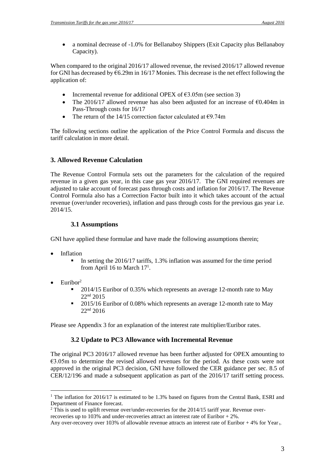a nominal decrease of -1.0% for Bellanaboy Shippers (Exit Capacity plus Bellanaboy Capacity).

When compared to the original 2016/17 allowed revenue, the revised 2016/17 allowed revenue for GNI has decreased by  $6.29$ m in 16/17 Monies. This decrease is the net effect following the application of:

- Incremental revenue for additional OPEX of  $\epsilon$ 3.05m (see section 3)
- The 2016/17 allowed revenue has also been adjusted for an increase of  $\epsilon$ 0.404m in Pass-Through costs for 16/17
- The return of the 14/15 correction factor calculated at  $\epsilon$ 9.74m

The following sections outline the application of the Price Control Formula and discuss the tariff calculation in more detail.

# **3. Allowed Revenue Calculation**

The Revenue Control Formula sets out the parameters for the calculation of the required revenue in a given gas year, in this case gas year 2016/17. The GNI required revenues are adjusted to take account of forecast pass through costs and inflation for 2016/17. The Revenue Control Formula also has a Correction Factor built into it which takes account of the actual revenue (over/under recoveries), inflation and pass through costs for the previous gas year i.e. 2014/15.

# **3.1 Assumptions**

GNI have applied these formulae and have made the following assumptions therein;

- Inflation
	- In setting the 2016/17 tariffs, 1.3% inflation was assumed for the time period from April 16 to March 17<sup>1</sup>.
- Euribor<sup>2</sup>

 $\overline{a}$ 

- 2014/15 Euribor of 0.35% which represents an average 12-month rate to May 22nd 2015
- <sup>2015/16</sup> Euribor of 0.08% which represents an average 12-month rate to May 22nd 2016

Please see Appendix 3 for an explanation of the interest rate multiplier/Euribor rates.

# **3.2 Update to PC3 Allowance with Incremental Revenue**

The original PC3 2016/17 allowed revenue has been further adjusted for OPEX amounting to €3.05m to determine the revised allowed revenues for the period. As these costs were not approved in the original PC3 decision, GNI have followed the CER guidance per sec. 8.5 of CER/12/196 and made a subsequent application as part of the 2016/17 tariff setting process.

<sup>&</sup>lt;sup>1</sup> The inflation for 2016/17 is estimated to be 1.3% based on figures from the Central Bank, ESRI and Department of Finance forecast.

 $2$  This is used to uplift revenue over/under-recoveries for the 2014/15 tariff year. Revenue overrecoveries up to 103% and under-recoveries attract an interest rate of Euribor + 2%.

Any over-recovery over 103% of allowable revenue attracts an interest rate of Euribor  $+ 4\%$  for Year  $_{L}$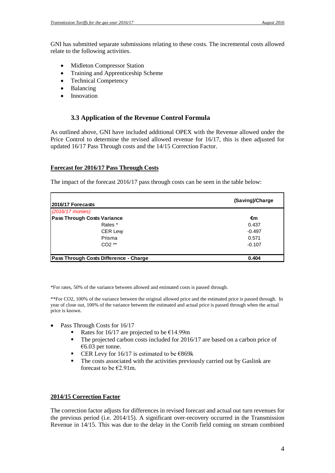GNI has submitted separate submissions relating to these costs. The incremental costs allowed relate to the following activities.

- Midleton Compressor Station
- Training and Apprenticeship Scheme
- Technical Competency
- Balancing
- Innovation

# **3.3 Application of the Revenue Control Formula**

As outlined above, GNI have included additional OPEX with the Revenue allowed under the Price Control to determine the revised allowed revenue for 16/17, this is then adjusted for updated 16/17 Pass Through costs and the 14/15 Correction Factor.

#### **Forecast for 2016/17 Pass Through Costs**

The impact of the forecast 2016/17 pass through costs can be seen in the table below:

| <b>2016/17 Forecasts</b>               | (Saving)/Charge |  |  |
|----------------------------------------|-----------------|--|--|
| (2016/17 monies)                       |                 |  |  |
| <b>Pass Through Costs Variance</b>     | €m              |  |  |
| Rates *                                | 0.437           |  |  |
| <b>CER Lew</b>                         | $-0.497$        |  |  |
| Prisma                                 | 0.571           |  |  |
| $CO2**$                                | $-0.107$        |  |  |
| Pass Through Costs Difference - Charge | 0.404           |  |  |

\*For rates, 50% of the variance between allowed and estimated costs is passed through.

\*\*For CO2, 100% of the variance between the original allowed price and the estimated price is passed through. In year of close out, 100% of the variance between the estimated and actual price is passed through when the actual price is known.

- Pass Through Costs for 16/17
	- Rates for 16/17 are projected to be  $E$ 14.99m
	- The projected carbon costs included for 2016/17 are based on a carbon price of €6.03 per tonne.
	- CER Levy for 16/17 is estimated to be  $€869k$
	- The costs associated with the activities previously carried out by Gaslink are forecast to be  $E2.91$ m.

## **2014/15 Correction Factor**

The correction factor adjusts for differences in revised forecast and actual out turn revenues for the previous period (i.e. 2014/15). A significant over-recovery occurred in the Transmission Revenue in 14/15. This was due to the delay in the Corrib field coming on stream combined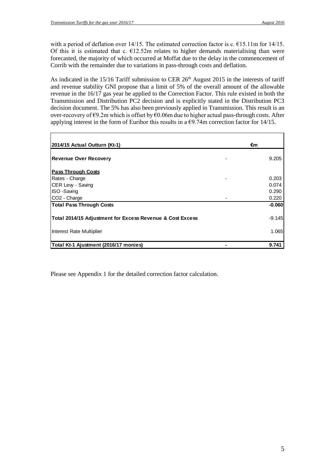with a period of deflation over  $14/15$ . The estimated correction factor is c.  $\epsilon$ 15.11m for 14/15. Of this it is estimated that c.  $E12.52m$  relates to higher demands materialising than were forecasted, the majority of which occurred at Moffat due to the delay in the commencement of Corrib with the remainder due to variations in pass-through costs and deflation.

As indicated in the 15/16 Tariff submission to CER 26<sup>th</sup> August 2015 in the interests of tariff and revenue stability GNI propose that a limit of 5% of the overall amount of the allowable revenue in the 16/17 gas year be applied to the Correction Factor. This rule existed in both the Transmission and Distribution PC2 decision and is explicitly stated in the Distribution PC3 decision document. The 5% has also been previously applied in Transmission. This result is an over-recovery of  $\epsilon$ 9.2m which is offset by  $\epsilon$ 0.06m due to higher actual pass-through costs. After applying interest in the form of Euribor this results in a  $\epsilon$ 9.74m correction factor for 14/15.

| 2014/15 Actual Outturn (Kt-1)                             | €m       |
|-----------------------------------------------------------|----------|
| <b>Revenue Over Recovery</b>                              | 9.205    |
| <b>Pass Through Costs</b>                                 |          |
| Rates - Charge                                            | 0.203    |
| CER Levy - Saving                                         | 0.074    |
| ISO -Saving                                               | 0.290    |
| CO <sub>2</sub> - Charge                                  | 0.220    |
| <b>Total Pass Through Costs</b>                           | $-0.060$ |
| Total 2014/15 Adjustment for Excess Revenue & Cost Excess | $-9.145$ |
| Interest Rate Multiplier                                  | 1.065    |
| Total Kt-1 Ajustment (2016/17 monies)                     | 9.741    |

Please see Appendix 1 for the detailed correction factor calculation.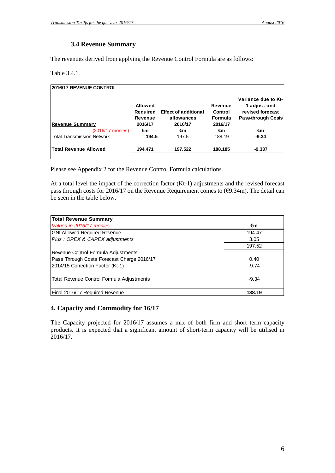### **3.4 Revenue Summary**

The revenues derived from applying the Revenue Control Formula are as follows:

Table 3.4.1

| 2016/17 REVENUE CONTROL           |                                       |                                           |                                      |                                                                                       |
|-----------------------------------|---------------------------------------|-------------------------------------------|--------------------------------------|---------------------------------------------------------------------------------------|
|                                   | <b>Allowed</b><br>Required<br>Revenue | <b>Effect of additional</b><br>allowances | Revenue<br>Control<br><b>Formula</b> | Variance due to Kt-<br>1 adjust. and<br>revised forecast<br><b>Pass-through Costs</b> |
| <b>Revenue Summary</b>            | 2016/17                               | 2016/17                                   | 2016/17                              |                                                                                       |
| (2016/17 monies)                  | €m                                    | €m                                        | €m                                   | €m                                                                                    |
| <b>Total Transmission Network</b> | 194.5                                 | 197.5                                     | 188.19                               | $-9.34$                                                                               |
| <b>Total Revenue Allowed</b>      | 194.471                               | 197.522                                   | 188.185                              | $-9.337$                                                                              |
|                                   |                                       |                                           |                                      |                                                                                       |

Please see Appendix 2 for the Revenue Control Formula calculations.

At a total level the impact of the correction factor (Kt-1) adjustments and the revised forecast pass through costs for 2016/17 on the Revenue Requirement comes to  $(\text{\textsterling}9.34\text{m})$ . The detail can be seen in the table below.

| <b>Total Revenue Summary</b>               |         |
|--------------------------------------------|---------|
| Values in 2016/17 monies                   | €m      |
| <b>GNI Allowed Required Revenue</b>        | 194.47  |
| Plus : OPEX & CAPEX adjustments            | 3.05    |
|                                            | 197.52  |
| Revenue Control Formula Adjustments        |         |
| Pass Through Costs Forecast Charge 2016/17 | 0.40    |
| 2014/15 Correction Factor (Kt-1)           | $-9.74$ |
| Total Revenue Control Formula Adjustments  | $-9.34$ |
| Final 2016/17 Required Revenue             | 188.19  |

# **4. Capacity and Commodity for 16/17**

The Capacity projected for 2016/17 assumes a mix of both firm and short term capacity products. It is expected that a significant amount of short-term capacity will be utilised in  $2016/17.$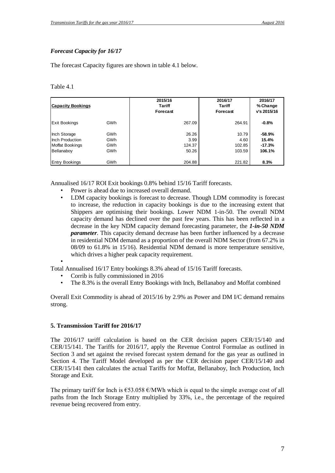## *Forecast Capacity for 16/17*

The forecast Capacity figures are shown in table 4.1 below.

Table 4.1

| <b>Capacity Bookings</b>                                                |                                 | 2015/16<br><b>Tariff</b><br>Forecast | 2016/17<br><b>Tariff</b><br>Forecast | 2016/17<br>% Change<br>v's 2015/16    |
|-------------------------------------------------------------------------|---------------------------------|--------------------------------------|--------------------------------------|---------------------------------------|
| <b>Exit Bookings</b>                                                    | <b>GWh</b>                      | 267.09                               | 264.91                               | $-0.8%$                               |
| Inch Storage<br>Inch Production<br><b>Moffat Bookings</b><br>Bellanaboy | GWh<br><b>GWh</b><br>GWh<br>GWh | 26.26<br>3.99<br>124.37<br>50.26     | 10.79<br>4.60<br>102.85<br>103.59    | -58.9%<br>15.4%<br>$-17.3%$<br>106.1% |
| <b>Entry Bookings</b>                                                   | GWh                             | 204.88                               | 221.82                               | 8.3%                                  |

Annualised 16/17 ROI Exit bookings 0.8% behind 15/16 Tariff forecasts.

- Power is ahead due to increased overall demand.
- LDM capacity bookings is forecast to decrease. Though LDM commodity is forecast to increase, the reduction in capacity bookings is due to the increasing extent that Shippers are optimising their bookings. Lower NDM 1-in-50. The overall NDM capacity demand has declined over the past few years. This has been reflected in a decrease in the key NDM capacity demand forecasting parameter, the *1-in-50 NDM parameter.* This capacity demand decrease has been further influenced by a decrease in residential NDM demand as a proportion of the overall NDM Sector (from 67.2% in 08/09 to 61.8% in 15/16). Residential NDM demand is more temperature sensitive, which drives a higher peak capacity requirement.

•

Total Annualised 16/17 Entry bookings 8.3% ahead of 15/16 Tariff forecasts.

- Corrib is fully commissioned in 2016
- The 8.3% is the overall Entry Bookings with Inch, Bellanaboy and Moffat combined

Overall Exit Commodity is ahead of 2015/16 by 2.9% as Power and DM I/C demand remains strong.

#### **5. Transmission Tariff for 2016/17**

The 2016/17 tariff calculation is based on the CER decision papers CER/15/140 and CER/15/141. The Tariffs for 2016/17, apply the Revenue Control Formulae as outlined in Section 3 and set against the revised forecast system demand for the gas year as outlined in Section 4. The Tariff Model developed as per the CER decision paper CER/15/140 and CER/15/141 then calculates the actual Tariffs for Moffat, Bellanaboy, Inch Production, Inch Storage and Exit.

The primary tariff for Inch is  $\epsilon$ 53.058  $\epsilon$ /MWh which is equal to the simple average cost of all paths from the Inch Storage Entry multiplied by 33%, i.e., the percentage of the required revenue being recovered from entry.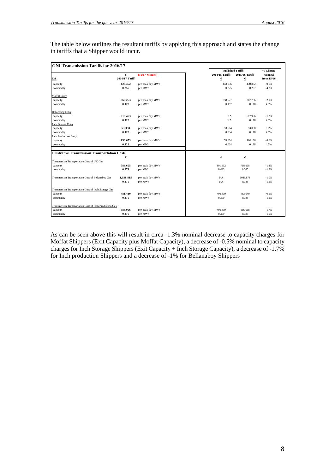| <b>GNI Transmission Tariffs for 2016/17</b>             |                |                   |                          |                 |                |
|---------------------------------------------------------|----------------|-------------------|--------------------------|-----------------|----------------|
|                                                         |                |                   | <b>Published Tariffs</b> |                 | % Change       |
|                                                         | €              | $(16/17)$ Monies) | 2014/15 Tariffs          | 2015/16 Tariffs | <b>Nominal</b> |
| Exit                                                    | 2016/17 Tariff |                   | €                        | €               | from 15/16     |
| capacity                                                | 428.352        | per peak day MWh  | 443.036                  | 430.882         | $-0.6%$        |
| commodity                                               | 0.256          | per MWh           | 0.275                    | 0.267           | $-4.2%$        |
| Moffat Entry                                            |                |                   |                          |                 |                |
| capacity                                                | 360.253        | per peak day MWh  | 358.577                  | 367.786         | $-2.0%$        |
| commodity                                               | 0.123          | per MWh           | 0.157                    | 0.118           | 4.5%           |
| <b>Bellanaboy Entry</b>                                 |                |                   |                          |                 |                |
| capacity                                                | 610.463        | per peak day MWh  | <b>NA</b>                | 617.996         | $-1.2%$        |
| commodity                                               | 0.123          | per MWh           | <b>NA</b>                | 0.118           | 4.5%           |
| <b>Inch Storage Entry</b>                               |                |                   |                          |                 |                |
| capacity                                                | 53.058         | per peak day MWh  | 53.604                   | 53.058          | 0.0%           |
| commodity                                               | 0.123          | per MWh           | 0.034                    | 0.118           | 4.5%           |
| <b>Inch Production Entry</b>                            |                |                   |                          |                 |                |
| capacity                                                | 156.653        | per peak day MWh  | 53.604                   | 164.186         | $-4.6%$        |
| commodity                                               | 0.123          | per MWh           | 0.034                    | 0.118           | 4.5%           |
| <b>Illustrative Transmission Transportation Costs</b>   |                |                   |                          |                 |                |
|                                                         | €              |                   | €                        | €               |                |
| Transmission Transportation Cost of UK Gas              |                |                   |                          |                 |                |
| capacity                                                | 788.605        | per peak day MWh  | 801.612                  | 798.668         | $-1.3%$        |
| commodity                                               | 0.379          | per MWh           | 0.433                    | 0.385           | $-1.5%$        |
| Transmission Transportation Cost of Bellanaboy Gas      | 1,038.815      | per peak day MWh  | NA                       | 1048.878        | $-1.0%$        |
|                                                         | 0.379          | per MWh           | <b>NA</b>                | 0.385           | $-1.5%$        |
| Transmission Transportation Cost of Inch Storage Gas    |                |                   |                          |                 |                |
| capacity                                                | 481.410        | per peak day MWh  | 496.639                  | 483.940         | $-0.5%$        |
| commodity                                               | 0.379          | per MWh           | 0.309                    | 0.385           | $-1.5%$        |
| Transmission Transportation Cost of Inch Production Gas |                |                   |                          |                 |                |
| capacity                                                | 585.006        | per peak day MWh  | 496.639                  | 595.068         | $-1.7%$        |
| commodity                                               | 0.379          | per MWh           | 0.309                    | 0.385           | $-1.5%$        |

The table below outlines the resultant tariffs by applying this approach and states the change in tariffs that a Shipper would incur.

As can be seen above this will result in circa -1.3% nominal decrease to capacity charges for Moffat Shippers (Exit Capacity plus Moffat Capacity), a decrease of -0.5% nominal to capacity charges for Inch Storage Shippers (Exit Capacity + Inch Storage Capacity), a decrease of -1.7% for Inch production Shippers and a decrease of -1% for Bellanaboy Shippers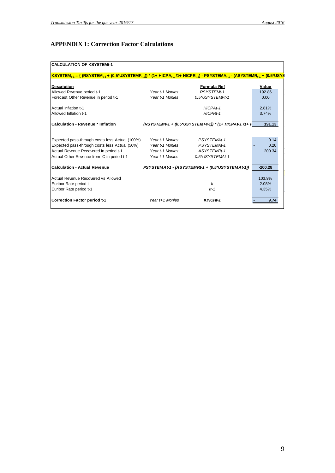# **APPENDIX 1: Correction Factor Calculations**

| <b>CALCULATION OF KSYSTEMt-1</b>                                                                                                                               |                 |                                                       |           |
|----------------------------------------------------------------------------------------------------------------------------------------------------------------|-----------------|-------------------------------------------------------|-----------|
| $ KSYSTEM_{t-1} = \{ (RSYSTEM_{t-1} + (0.5^*USYSTEMF_{t-1}))^* (1 + HICPA_{t-1}/1 + HICPR_{t-1}) - PSYSTEMA_{t-1} - (ASYSTEMR_{t-1} + (0.5^*USYSTEMR_{t-1})))$ |                 |                                                       |           |
| <b>Description</b>                                                                                                                                             |                 | Formula Ref                                           | Value     |
| Allowed Revenue period t-1                                                                                                                                     | Year t-1 Monies | RSYSTEMt-1                                            | 192.86    |
| Forecast Other Revenue in period t-1                                                                                                                           | Year t-1 Monies | 0.5*USYSTEMFt-1                                       | 0.00      |
| Actual Inflation t-1                                                                                                                                           |                 | HICPAt-1                                              | 2.81%     |
| Allowed Inflation t-1                                                                                                                                          |                 | HICPRt-1                                              | 3.74%     |
| <b>Calculation - Revenue * Inflation</b>                                                                                                                       |                 | (RSYSTEMt-1 + (0.5*USYSTEMFt-1)) * (1+ HICPAt-1 /1+ h | 191.13    |
| Expected pass-through costs less Actual (100%)                                                                                                                 | Year t-1 Monies | PSYSTEMAt-1                                           | 0.14      |
| Expected pass-through costs less Actual (50%)                                                                                                                  | Year t-1 Monies | PSYSTEMAt-1                                           | 0.20      |
| Actual Revenue Recovered in period t-1                                                                                                                         | Year t-1 Monies | ASYSTEMRt-1                                           | 200.34    |
| Actual Other Revenue from IC in period t-1                                                                                                                     | Year t-1 Monies | 0.5*USYSTEMAt-1                                       |           |
| <b>Calculation - Actual Revenue</b>                                                                                                                            |                 | PSYSTEMAt-1 - (ASYSTEMRt-1 + (0.5*USYSTEMAt-1))       | $-200.28$ |
| Actual Revenue Recovered Vs Allowed                                                                                                                            |                 |                                                       | 103.9%    |
| Euribor Rate period t                                                                                                                                          |                 | It                                                    | 2.08%     |
| Euribor Rate period t-1                                                                                                                                        |                 | $It-1$                                                | 4.35%     |
| Correction Factor period t-1                                                                                                                                   | Year t+1 Monies | KINCHt-1                                              | 9.74      |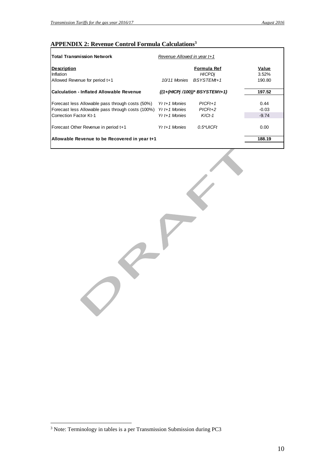# **APPENDIX 2: Revenue Control Formula Calculations<sup>3</sup>**

| <b>Total Transmission Network</b>                 | Revenue Allowed in year t+1       |                |
|---------------------------------------------------|-----------------------------------|----------------|
| <b>Description</b><br>Inflation                   | Formula Ref<br><b>HICPDi</b>      | Value<br>3.52% |
| Allowed Revenue for period t+1                    | BSYSTEMt+1<br>10/11 Monies        | 190.80         |
| <b>ICalculation - Inflated Allowable Revenue</b>  | $\{(1+(HICPj/100))^*$ BSYSTEMt+1} | 197.52         |
| Forecast less Allowable pass through costs (50%)  | $Yr t+1$ Monies<br>$PICFt+1$      | 0.44           |
| Forecast less Allowable pass through costs (100%) | $Yr$ t+1 Monies<br>$PICFt+2$      | $-0.03$        |
| Correction Factor Kt-1                            | $Yr t + 1$ Monies<br>$KICt-1$     | $-9.74$        |
| Forecast Other Revenue in period t+1              | $Yr t + 1$ Monies<br>$0.5^*UICFt$ | 0.00           |
| Allowable Revenue to be Recovered in year t+1     |                                   | 188.19         |
|                                                   |                                   |                |

 $\leftarrow$ 

 $\bigcirc$ 

 $\overline{a}$ 

 $3$  Note: Terminology in tables is a per Transmission Submission during PC3